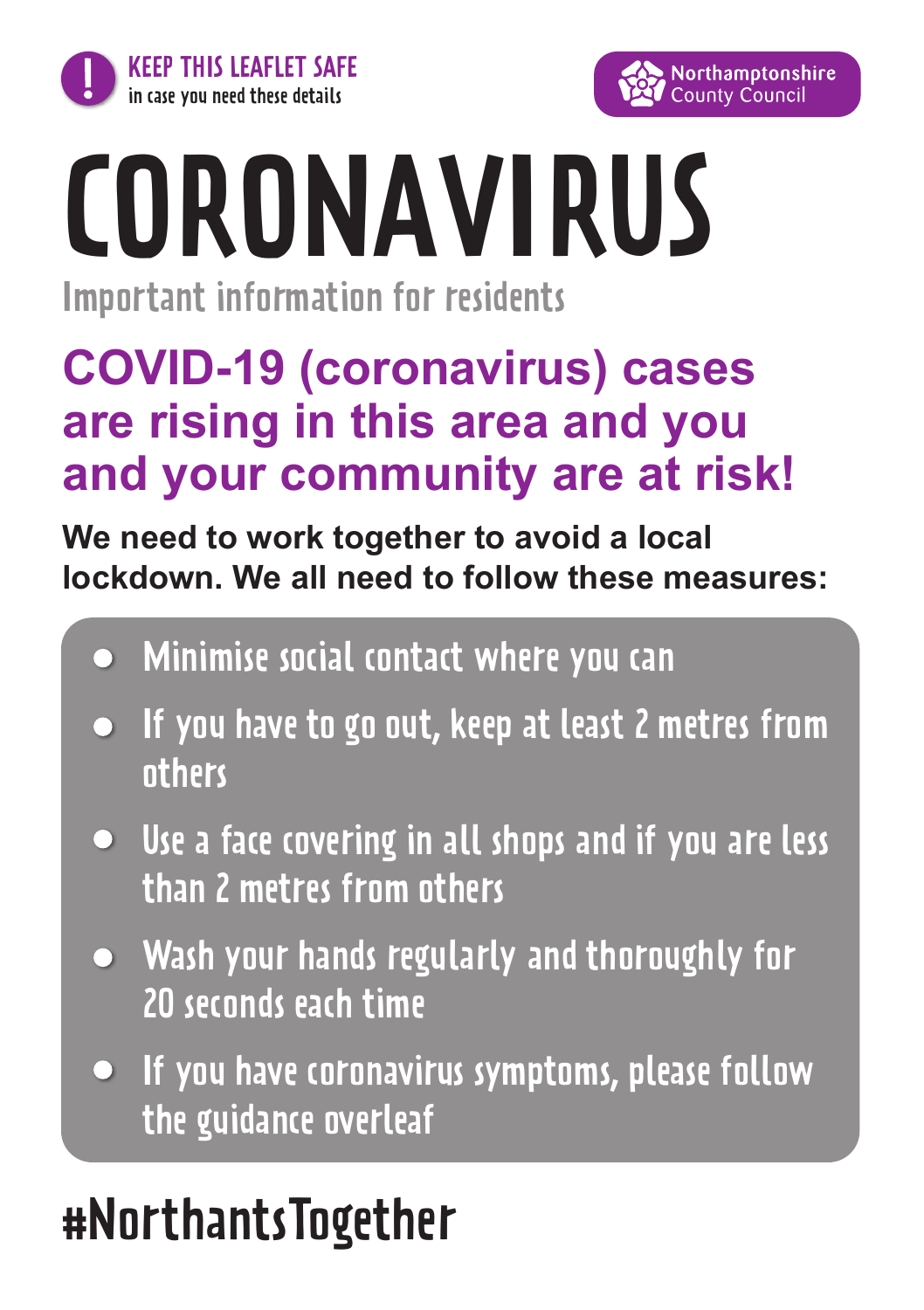



# CORONAVIRUS

Important information for residents

#### **COVID-19 (coronavirus) cases are rising in this area and you and your community are at risk!**

**We need to work together to avoid a local lockdown. We all need to follow these measures:**

- Minimise social contact where you can
- $\bullet$  If you have to go out, keep at least 2 metres from others
- Use a face covering in all shops and if you are less than 2 metres from others
- Wash your hands regularly and thoroughly for 20 seconds each time
- If you have coronavirus symptoms, please follow the guidance overleaf

## #NorthantsTogether